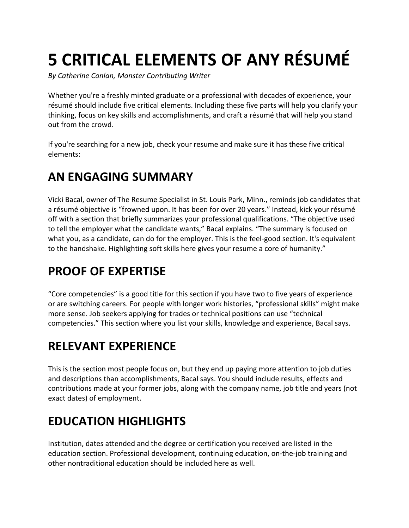# **5 CRITICAL ELEMENTS OF ANY RÉSUMÉ**

*By Catherine Conlan, Monster Contributing Writer*

Whether you're a freshly minted graduate or a professional with decades of experience, your résumé should include five critical elements. Including these five parts will help you clarify your thinking, focus on key skills and accomplishments, and craft a résumé that will help you stand out from the crowd.

If you're searching for a new job, check your resume and make sure it has these five critical elements:

#### **AN ENGAGING SUMMARY**

Vicki Bacal, owner of The Resume Specialist in St. Louis Park, Minn., reminds job candidates that a résumé objective is "frowned upon. It has been for over 20 years." Instead, kick your résumé off with a section that briefly summarizes your professional qualifications. "The objective used to tell the employer what the candidate wants," Bacal explains. "The summary is focused on what you, as a candidate, can do for the employer. This is the feel-good section. It's equivalent to the handshake. Highlighting soft skills here gives your resume a core of humanity."

### **PROOF OF EXPERTISE**

"Core competencies" is a good title for this section if you have two to five years of experience or are switching careers. For people with longer work histories, "professional skills" might make more sense. Job seekers applying for trades or technical positions can use "technical competencies." This section where you list your skills, knowledge and experience, Bacal says.

# **RELEVANT EXPERIENCE**

This is the section most people focus on, but they end up paying more attention to job duties and descriptions than accomplishments, Bacal says. You should include results, effects and contributions made at your former jobs, along with the company name, job title and years (not exact dates) of employment.

### **EDUCATION HIGHLIGHTS**

Institution, dates attended and the degree or certification you received are listed in the education section. Professional development, continuing education, on-the-job training and other nontraditional education should be included here as well.